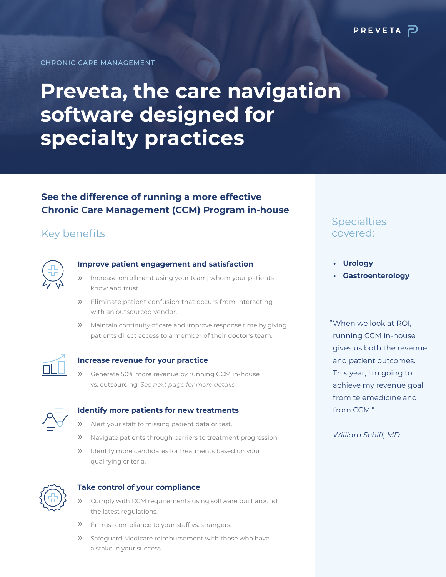CHRONIC CARE MANAGEMENT

# **Preveta, the care navigation software designed for specialty practices**

## **See the difference of running a more effective Chronic Care Management (CCM) Program in-house**

# Key benefits



### **Improve patient engagement and satisfaction**

- Increase enrollment using your team, whom your patients know and trust.  $\gg$
- **>>** Eliminate patient confusion that occurs from interacting with an outsourced vendor.
- **X** Maintain continuity of care and improve response time by giving patients direct access to a member of their doctor's team.



#### **Increase revenue for your practice**

Generate 50% more revenue by running CCM in-house vs. outsourcing. *See next page for more details.*  $\gg$ 



## **Identify more patients for new treatments**

- Alert your staff to missing patient data or test.  $\gg$
- Navigate patients through barriers to treatment progression.  $\gg$
- **»** Identify more candidates for treatments based on your qualifying criteria.



#### **Take control of your compliance**

- Comply with CCM requirements using software built around the latest regulations.
- Entrust compliance to your staff vs. strangers.  $\gg$
- Safeguard Medicare reimbursement with those who have a stake in your success.  $\gg$

## **Specialties** covered:

- **• Urology**
- **• Gastroenterology**

When we look at ROI, " running CCM in-house gives us both the revenue and patient outcomes. This year, I'm going to achieve my revenue goal from telemedicine and from CCM."

#### *William Schiff, MD*